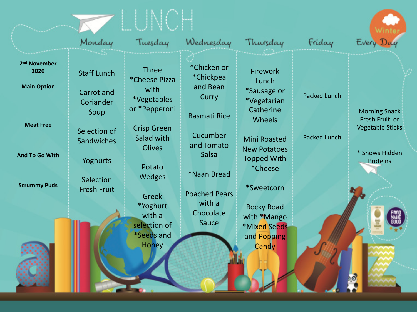|                                                        | Monday                                               | Tuesday                                                                      | Wednesday                                                     | Thursday                                                                   | Friday              | Every Day                                                                                       |
|--------------------------------------------------------|------------------------------------------------------|------------------------------------------------------------------------------|---------------------------------------------------------------|----------------------------------------------------------------------------|---------------------|-------------------------------------------------------------------------------------------------|
| 2 <sup>nd</sup> November<br>2020<br><b>Main Option</b> | <b>Staff Lunch</b><br><b>Carrot</b> and<br>Coriander | <b>Three</b><br><i>*Cheese Pizza</i><br>with<br>*Vegetables<br>or *Pepperoni | *Chicken or<br>*Chickpea<br>and Bean<br>Curry                 | Firework<br>Lunch<br>*Sausage or<br><i>*</i> Vegetarian<br>Catherine       | <b>Packed Lunch</b> |                                                                                                 |
| <b>Meat Free</b><br><b>And To Go With</b>              | Soup<br>Selection of<br>Sandwiches<br>Yoghurts       | <b>Crisp Green</b><br>Salad with<br><b>Olives</b>                            | <b>Basmati Rice</b><br>Cucumber<br>and Tomato<br><b>Salsa</b> | Wheels<br><b>Mini Roasted</b><br><b>New Potatoes</b><br><b>Topped With</b> | <b>Packed Lunch</b> | <b>Morning Snack</b><br>Fresh Fruit or<br><b>Vegetable Sticks</b><br>* Shows Hidden<br>Proteins |
| <b>Scrummy Puds</b>                                    | Selection<br><b>Fresh Fruit</b>                      | Potato<br><b>Wedges</b><br>Greek<br>*Yoghurt                                 | *Naan Bread<br><b>Poached Pears</b><br>with a                 | *Cheese<br>*Sweetcorn<br><b>Rocky Road</b>                                 |                     |                                                                                                 |
|                                                        |                                                      | with a<br>selection of<br><i>*Seeds and</i><br><b>Honey</b>                  | Chocolate<br><b>Sauce</b>                                     | with *Mango<br><b>*Mixed Seeds</b><br>and Popping<br>Candy                 |                     |                                                                                                 |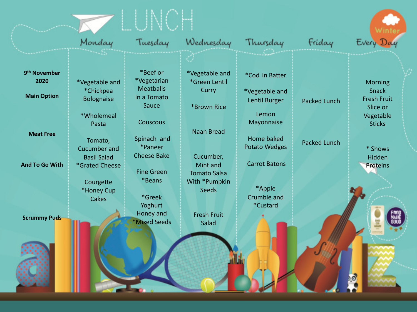|                                  | Monday                               | Tuesday                                  | Wednesday                                    | Thursday                                  | Friday              | Every Day                              |
|----------------------------------|--------------------------------------|------------------------------------------|----------------------------------------------|-------------------------------------------|---------------------|----------------------------------------|
|                                  |                                      |                                          |                                              |                                           |                     |                                        |
| 9 <sup>th</sup> November<br>2020 | *Vegetable and                       | *Beef or<br>*Vegetarian                  | *Vegetable and<br>*Green Lentil              | *Cod in Batter                            |                     | <b>Morning</b>                         |
| <b>Main Option</b>               | *Chickpea<br><b>Bolognaise</b>       | <b>Meatballs</b><br>In a Tomato<br>Sauce | Curry                                        | *Vegetable and<br>Lentil Burger           | <b>Packed Lunch</b> | <b>Snack</b><br><b>Fresh Fruit</b>     |
|                                  | *Wholemeal<br>Pasta                  | Couscous                                 | *Brown Rice                                  | Lemon<br>Mayonnaise                       |                     | Slice or<br>Vegetable<br><b>Sticks</b> |
| <b>Meat Free</b>                 | Tomato,<br><b>Cucumber and</b>       | Spinach and<br>*Paneer                   | <b>Naan Bread</b>                            | <b>Home baked</b><br><b>Potato Wedges</b> | <b>Packed Lunch</b> | * Shows                                |
| <b>And To Go With</b>            | <b>Basil Salad</b><br>*Grated Cheese | <b>Cheese Bake</b><br><b>Fine Green</b>  | Cucumber,<br>Mint and<br><b>Tomato Salsa</b> | <b>Carrot Batons</b>                      |                     | <b>Hidden</b><br>Proteins              |
|                                  | Courgette<br>*Honey Cup              | *Beans                                   | With *Pumpkin<br><b>Seeds</b>                | *Apple                                    |                     |                                        |
|                                  | Cakes                                | *Greek<br>Yoghurt                        |                                              | Crumble and<br>*Custard                   |                     |                                        |
| <b>Scrummy Puds</b>              |                                      | Honey and<br>*Mixed Seeds                | <b>Fresh Fruit</b><br>Salad                  |                                           |                     |                                        |
|                                  |                                      |                                          |                                              |                                           |                     |                                        |
|                                  |                                      |                                          |                                              |                                           |                     |                                        |
|                                  |                                      |                                          |                                              |                                           |                     |                                        |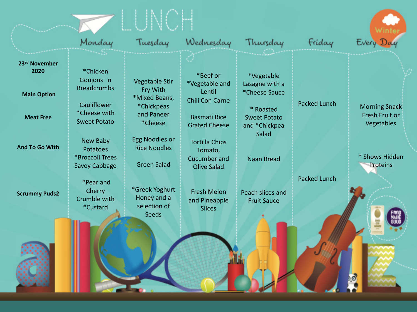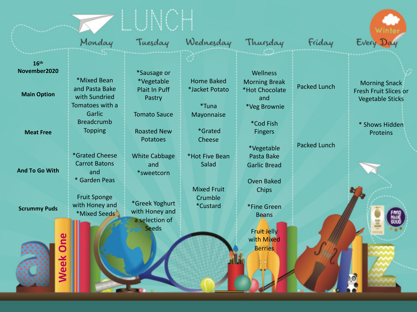|                                                        | Monday                                                            | Tuesday                                                      | Wednesday                                     | Thursday                                                                  | Friday              | Every Day                                                                       |
|--------------------------------------------------------|-------------------------------------------------------------------|--------------------------------------------------------------|-----------------------------------------------|---------------------------------------------------------------------------|---------------------|---------------------------------------------------------------------------------|
| 16 <sup>th</sup><br>November2020<br><b>Main Option</b> | *Mixed Bean<br>and Pasta Bake<br>with Sundried<br>Tomatoes with a | *Sausage or<br>*Vegetable<br><b>Plait In Puff</b><br>Pastry  | <b>Home Baked</b><br>*Jacket Potato<br>*Tuna  | Wellness<br><b>Morning Break</b><br>*Hot Chocolate<br>and<br>*Veg Brownie | <b>Packed Lunch</b> | <b>Morning Snack</b><br><b>Fresh Fruit Slices or</b><br><b>Vegetable Sticks</b> |
| <b>Meat Free</b>                                       | Garlic<br><b>Breadcrumb</b><br><b>Topping</b><br>*Grated Cheese   | <b>Tomato Sauce</b><br><b>Roasted New</b><br><b>Potatoes</b> | Mayonnaise<br>*Grated<br>Cheese               | *Cod Fish<br><b>Fingers</b><br>*Vegetable                                 | <b>Packed Lunch</b> | * Shows Hidden<br><b>Proteins</b>                                               |
| <b>And To Go With</b>                                  | <b>Carrot Batons</b><br>and<br>* Garden Peas                      | <b>White Cabbage</b><br>and<br>*sweetcorn                    | *Hot Five Bean<br>Salad<br><b>Mixed Fruit</b> | Pasta Bake<br><b>Garlic Bread</b><br><b>Oven Baked</b><br>Chips           |                     |                                                                                 |
| <b>Scrummy Puds</b>                                    | <b>Fruit Sponge</b><br>with Honey and<br>*Mixed Seeds             | *Greek Yoghurt<br>with Honey and<br>a selection of           | Crumble<br>*Custard                           | *Fine Green<br><b>Beans</b>                                               |                     |                                                                                 |
| One<br><b>Week</b>                                     |                                                                   | <b>Seeds</b>                                                 |                                               | <b>Fruit Jelly</b><br>with Mixed<br><b>Berries</b>                        |                     |                                                                                 |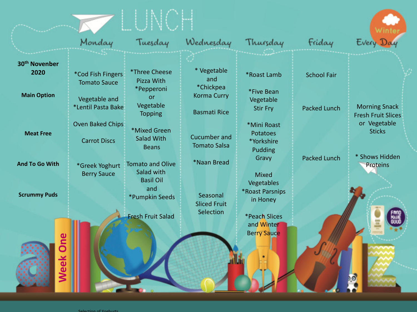|                                   | Monday                                         | Tuesday                                                   | Wednesday                                           | Thursday                                                       | Friday              | Every Day                                         |
|-----------------------------------|------------------------------------------------|-----------------------------------------------------------|-----------------------------------------------------|----------------------------------------------------------------|---------------------|---------------------------------------------------|
| 30 <sup>th</sup> Novenber<br>2020 | *Cod Fish Fingers<br><b>Tomato Sauce</b>       | <i><b>*Three Cheese</b></i><br>Pizza With                 | * Vegetable<br>and<br>*Chickpea                     | *Roast Lamb                                                    | <b>School Fair</b>  |                                                   |
| <b>Main Option</b>                | Vegetable and<br>*Lentil Pasta Bake            | *Pepperoni<br><b>or</b><br>Vegetable<br><b>Topping</b>    | <b>Korma Curry</b><br><b>Basmati Rice</b>           | *Five Bean<br>Vegetable<br><b>Stir Fry</b>                     | <b>Packed Lunch</b> | <b>Morning Snack</b><br><b>Fresh Fruit Slices</b> |
| <b>Meat Free</b>                  | <b>Oven Baked Chips</b><br><b>Carrot Discs</b> | *Mixed Green<br><b>Salad With</b><br><b>Beans</b>         | Cucumber and<br><b>Tomato Salsa</b>                 | *Mini Roast<br><b>Potatoes</b><br>*Yorkshire<br><b>Pudding</b> |                     | or Vegetable<br><b>Sticks</b>                     |
| <b>And To Go With</b>             | *Greek Yoghurt<br><b>Berry Sauce</b>           | <b>Tomato and Olive</b><br>Salad with<br><b>Basil Oil</b> | *Naan Bread                                         | Gravy<br><b>Mixed</b><br>Vegetables                            | <b>Packed Lunch</b> | * Shows Hidden<br><b>Proteins</b>                 |
| <b>Scrummy Puds</b>               |                                                | and<br>*Pumpkin Seeds<br><b>Fresh Fruit Salad</b>         | Seasonal<br><b>Sliced Fruit</b><br><b>Selection</b> | *Roast Parsnips<br>in Honey<br><i><b>*Peach Slices</b></i>     |                     |                                                   |
| One<br><b>Week</b>                |                                                |                                                           |                                                     | and Winter<br><b>Berry Sauce</b>                               |                     |                                                   |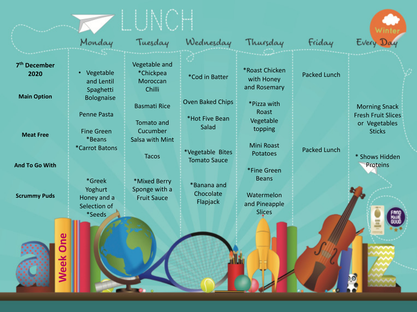|                                                        | Monday                                                                            | Tuesday                                                          | Wednesday                                                       | Thursday                                                                             | Friday              | Every Day                                                                           |
|--------------------------------------------------------|-----------------------------------------------------------------------------------|------------------------------------------------------------------|-----------------------------------------------------------------|--------------------------------------------------------------------------------------|---------------------|-------------------------------------------------------------------------------------|
| 7 <sup>th</sup> December<br>2020<br><b>Main Option</b> | Vegetable<br>and Lentil<br>Spaghetti                                              | Vegetable and<br>*Chickpea<br>Moroccan<br>Chilli                 | *Cod in Batter                                                  | *Roast Chicken<br>with Honey<br>and Rosemary                                         | <b>Packed Lunch</b> |                                                                                     |
| <b>Meat Free</b>                                       | Bolognaise<br><b>Penne Pasta</b><br><b>Fine Green</b><br>*Beans<br>*Carrot Batons | <b>Basmati Rice</b><br>Tomato and<br>Cucumber<br>Salsa with Mint | Oven Baked Chips<br>*Hot Five Bean<br>Salad<br>*Vegetable Bites | *Pizza with<br>Roast<br>Vegetable<br>topping<br><b>Mini Roast</b><br><b>Potatoes</b> | <b>Packed Lunch</b> | <b>Morning Snack</b><br><b>Fresh Fruit Slices</b><br>or Vegetables<br><b>Sticks</b> |
| <b>And To Go With</b>                                  | *Greek                                                                            | <b>Tacos</b><br>*Mixed Berry                                     | <b>Tomato Sauce</b><br>*Banana and                              | *Fine Green<br><b>Beans</b>                                                          |                     | * Shows Hidden<br>Proteins                                                          |
| <b>Scrummy Puds</b>                                    | Yoghurt<br>Honey and a<br>Selection of<br>*Seeds                                  | Sponge with a<br><b>Fruit Sauce</b>                              | Chocolate<br>Flapjack                                           | Watermelon<br>and Pineapple<br><b>Slices</b>                                         |                     |                                                                                     |
| One<br><b>Week</b>                                     |                                                                                   |                                                                  |                                                                 |                                                                                      |                     |                                                                                     |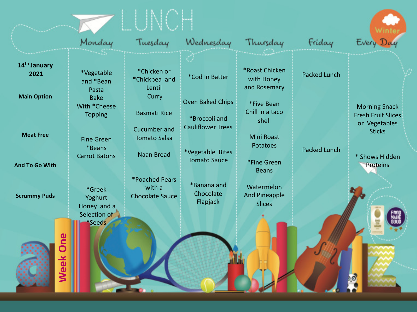